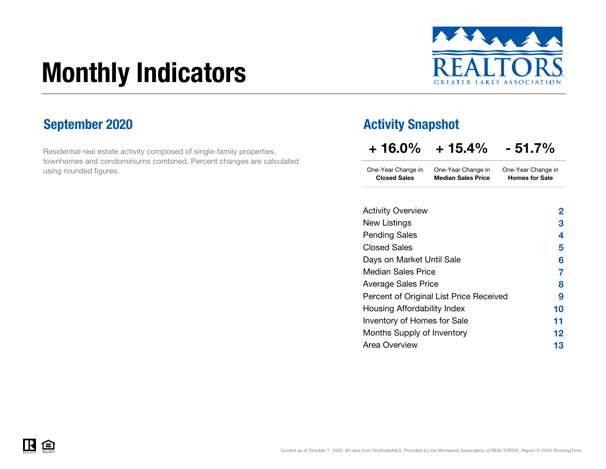# Monthly Indicators



Residential real estate activity composed of single-family properties, townhomes and condominiums combined. Percent changes are calculated using rounded figures.

### September 2020 **Activity Snapshot**

| $+16.0\%$ | $+15.4\%$ | $-51.7%$ |
|-----------|-----------|----------|
|           |           |          |

One-Year Change in One-Year Change in Closed Sales Median Sales PriceOne-Year Change in Homes for Sale

| New Listings<br><b>Pending Sales</b><br><b>Closed Sales</b><br>Days on Market Until Sale<br>Median Sales Price<br><b>Average Sales Price</b><br>Percent of Original List Price Received<br>Housing Affordability Index<br>Inventory of Homes for Sale<br>Months Supply of Inventory<br>Area Overview | <b>Activity Overview</b> | 2  |
|------------------------------------------------------------------------------------------------------------------------------------------------------------------------------------------------------------------------------------------------------------------------------------------------------|--------------------------|----|
|                                                                                                                                                                                                                                                                                                      |                          | З  |
|                                                                                                                                                                                                                                                                                                      |                          | 4  |
|                                                                                                                                                                                                                                                                                                      |                          | 5  |
|                                                                                                                                                                                                                                                                                                      |                          | 6  |
|                                                                                                                                                                                                                                                                                                      |                          | 7  |
|                                                                                                                                                                                                                                                                                                      |                          | 8  |
|                                                                                                                                                                                                                                                                                                      |                          | 9  |
|                                                                                                                                                                                                                                                                                                      |                          | 10 |
|                                                                                                                                                                                                                                                                                                      |                          | 11 |
|                                                                                                                                                                                                                                                                                                      |                          | 12 |
|                                                                                                                                                                                                                                                                                                      |                          | 13 |

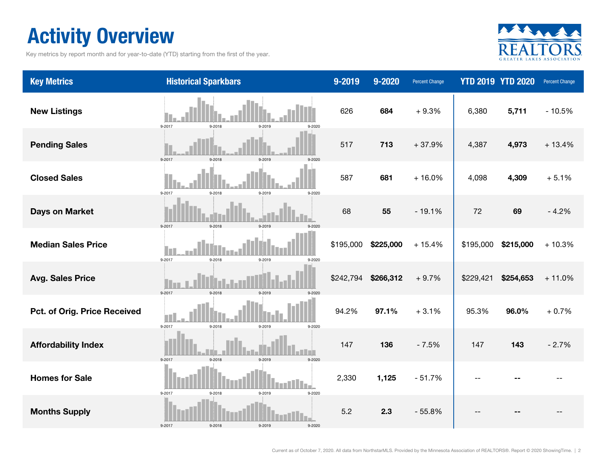### Activity Overview

Key metrics by report month and for year-to-date (YTD) starting from the first of the year.



| <b>Key Metrics</b>           | <b>Historical Sparkbars</b>              | 9-2019    | 9-2020    | Percent Change |           | <b>YTD 2019 YTD 2020</b> | Percent Change |
|------------------------------|------------------------------------------|-----------|-----------|----------------|-----------|--------------------------|----------------|
| <b>New Listings</b>          | 9-2017<br>9-2019<br>9-2018<br>9-2020     | 626       | 684       | $+9.3%$        | 6,380     | 5,711                    | $-10.5%$       |
| <b>Pending Sales</b>         | 9-2017<br>$9 - 2018$<br>9-2019           | 517       | 713       | $+37.9%$       | 4,387     | 4,973                    | $+13.4%$       |
| <b>Closed Sales</b>          | 9-2017<br>9-2018<br>9-2019<br>9-2020     | 587       | 681       | $+16.0%$       | 4,098     | 4,309                    | $+5.1%$        |
| <b>Days on Market</b>        | 9-2017<br>9-2018<br>0.2010               | 68        | 55        | $-19.1%$       | 72        | 69                       | $-4.2%$        |
| <b>Median Sales Price</b>    | 9-2017<br>9-2018<br>9-2019<br>9-2020     | \$195,000 | \$225,000 | $+15.4%$       | \$195,000 | \$215,000                | $+10.3%$       |
| <b>Avg. Sales Price</b>      | 9-2017<br>9-2018<br>9-2019<br>$9 - 2020$ | \$242,794 | \$266,312 | $+9.7%$        | \$229,421 | \$254,653                | $+11.0%$       |
| Pct. of Orig. Price Received | 9-2017<br>$9 - 2018$<br>9-2019<br>9-2020 | 94.2%     | 97.1%     | $+3.1%$        | 95.3%     | 96.0%                    | $+0.7%$        |
| <b>Affordability Index</b>   | 9-2017<br>$9 - 2018$<br>9-2019<br>9-2020 | 147       | 136       | $-7.5%$        | 147       | 143                      | $-2.7%$        |
| <b>Homes for Sale</b>        | 9-2017<br>$9 - 2018$<br>9-2019<br>9-2020 | 2,330     | 1,125     | $-51.7%$       |           |                          |                |
| <b>Months Supply</b>         | 9-2017<br>9-2018<br>9-2019<br>9-2020     | 5.2       | 2.3       | $-55.8%$       |           |                          |                |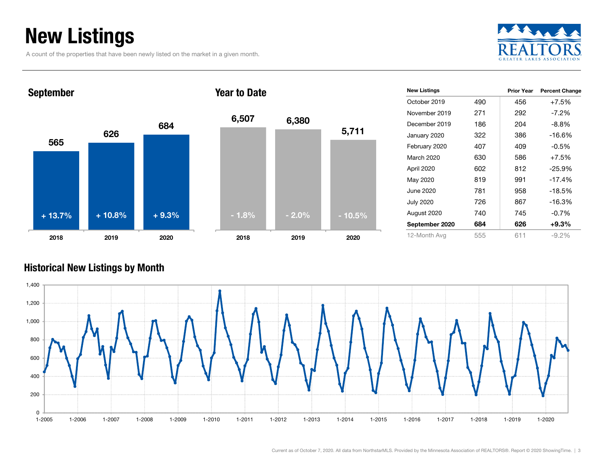### New Listings

A count of the properties that have been newly listed on the market in a given month.





| <b>New Listings</b> |     | <b>Prior Year</b> | <b>Percent Change</b> |
|---------------------|-----|-------------------|-----------------------|
| October 2019        | 490 | 456               | $+7.5%$               |
| November 2019       | 271 | 292               | $-7.2\%$              |
| December 2019       | 186 | 204               | -8.8%                 |
| January 2020        | 322 | 386               | $-16.6%$              |
| February 2020       | 407 | 409               | $-0.5%$               |
| March 2020          | 630 | 586               | $+7.5%$               |
| April 2020          | 602 | 812               | $-25.9%$              |
| May 2020            | 819 | 991               | $-17.4%$              |
| June 2020.          | 781 | 958               | $-18.5%$              |
| <b>July 2020</b>    | 726 | 867               | $-16.3%$              |
| August 2020         | 740 | 745               | $-0.7%$               |
| September 2020      | 684 | 626               | $+9.3\%$              |
| 12-Month Avg        | 555 | 611               | $-9.2\%$              |

#### Historical New Listings by Month

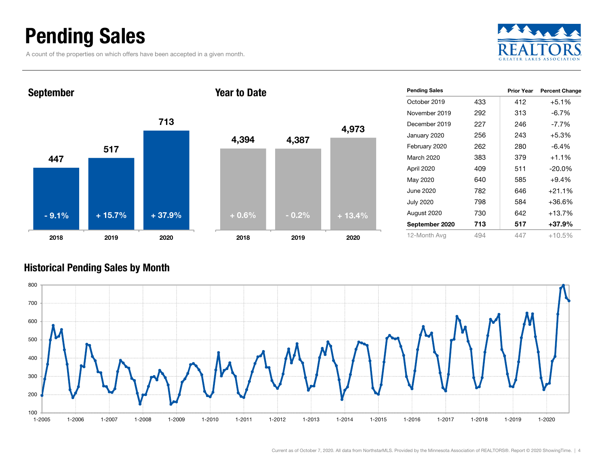### Pending Sales

A count of the properties on which offers have been accepted in a given month.



447517 7132018 2019 2020 September 4,394 4,387 2018Year to Date- 9.1% $+ 15.7\%$   $+ 37.9\%$ 

| $+0.6%$ | $-0.2%$ | $+13.4%$ |  |
|---------|---------|----------|--|
|         |         |          |  |
|         |         |          |  |
| 4,394   | 4,387   | 4,973    |  |
|         |         |          |  |

| <b>Pending Sales</b> |     | <b>Prior Year</b> | <b>Percent Change</b> |
|----------------------|-----|-------------------|-----------------------|
| October 2019         | 433 | 412               | $+5.1%$               |
| November 2019        | 292 | 313               | $-6.7%$               |
| December 2019        | 227 | 246               | $-7.7\%$              |
| January 2020         | 256 | 243               | $+5.3%$               |
| February 2020        | 262 | 280               | $-6.4%$               |
| March 2020           | 383 | 379               | $+1.1\%$              |
| April 2020           | 409 | 511               | $-20.0\%$             |
| May 2020             | 640 | 585               | $+9.4%$               |
| June 2020            | 782 | 646               | $+21.1%$              |
| <b>July 2020</b>     | 798 | 584               | +36.6%                |
| August 2020          | 730 | 642               | $+13.7%$              |
| September 2020       | 713 | 517               | $+37.9%$              |
| 12-Month Avg         | 494 | 447               | $+10.5%$              |

#### Historical Pending Sales by Month

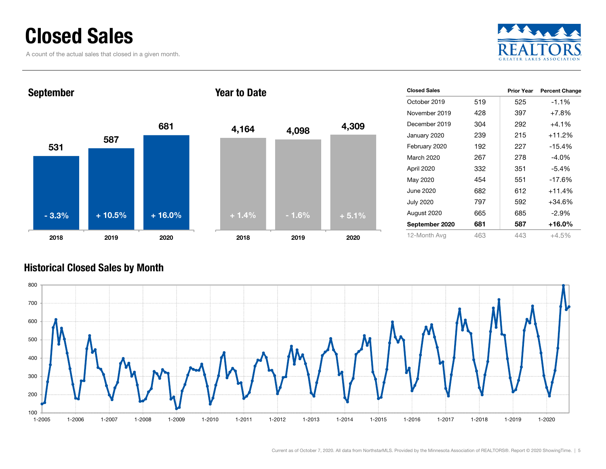### Closed Sales

A count of the actual sales that closed in a given month.





| <b>Closed Sales</b> |     | <b>Prior Year</b> | <b>Percent Change</b> |
|---------------------|-----|-------------------|-----------------------|
| October 2019        | 519 | 525               | $-1.1%$               |
| November 2019       | 428 | 397               | $+7.8%$               |
| December 2019       | 304 | 292               | $+4.1%$               |
| January 2020        | 239 | 215               | $+11.2%$              |
| February 2020       | 192 | 227               | $-15.4%$              |
| March 2020          | 267 | 278               | $-4.0\%$              |
| April 2020          | 332 | 351               | -5.4%                 |
| May 2020            | 454 | 551               | $-17.6%$              |
| June 2020           | 682 | 612               | $+11.4%$              |
| <b>July 2020</b>    | 797 | 592               | +34.6%                |
| August 2020         | 665 | 685               | $-2.9\%$              |
| September 2020      | 681 | 587               | $+16.0%$              |
| 12-Month Avg        | 463 | 443               | $+4.5%$               |

#### Historical Closed Sales by Month

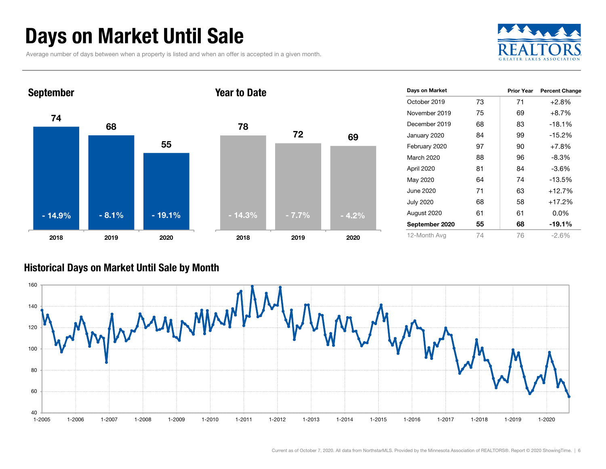### Days on Market Until Sale

Average number of days between when a property is listed and when an offer is accepted in a given month.





#### Historical Days on Market Until Sale by Month

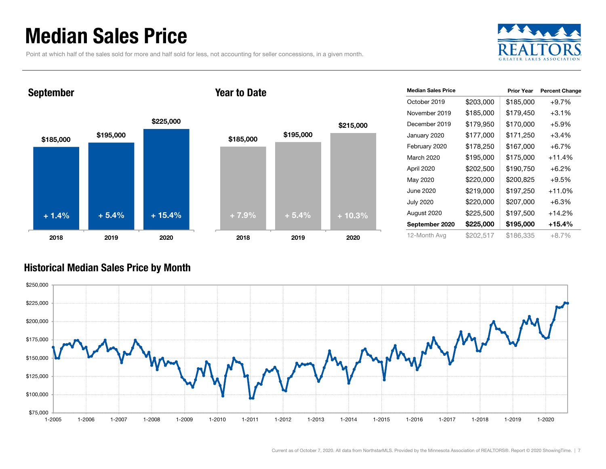### Median Sales Price

Point at which half of the sales sold for more and half sold for less, not accounting for seller concessions, in a given month.



#### September





| <b>Median Sales Price</b> |           | <b>Prior Year</b> | <b>Percent Change</b> |
|---------------------------|-----------|-------------------|-----------------------|
| October 2019              | \$203,000 | \$185,000         | $+9.7%$               |
| November 2019             | \$185,000 | \$179,450         | $+3.1%$               |
| December 2019             | \$179,950 | \$170,000         | $+5.9%$               |
| January 2020              | \$177,000 | \$171,250         | $+3.4%$               |
| February 2020             | \$178,250 | \$167,000         | $+6.7%$               |
| March 2020                | \$195,000 | \$175,000         | $+11.4%$              |
| April 2020                | \$202,500 | \$190,750         | $+6.2%$               |
| May 2020                  | \$220,000 | \$200,825         | $+9.5%$               |
| June 2020                 | \$219,000 | \$197,250         | $+11.0%$              |
| <b>July 2020</b>          | \$220,000 | \$207,000         | $+6.3\%$              |
| August 2020               | \$225,500 | \$197,500         | $+14.2%$              |
| September 2020            | \$225,000 | \$195,000         | +15.4%                |
| 12-Month Avg              | \$202,517 | \$186,335         | $+8.7%$               |

#### Historical Median Sales Price by Month

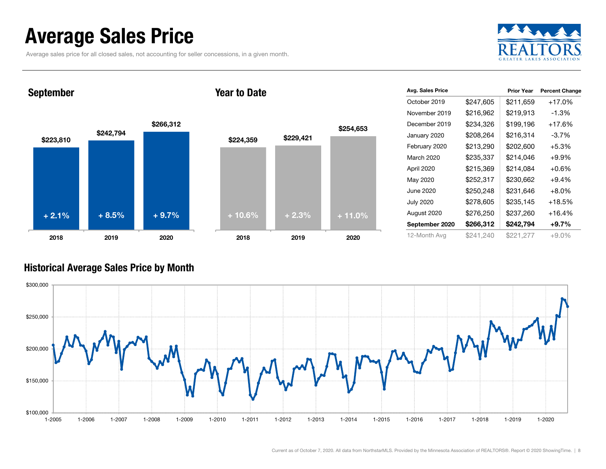### Average Sales Price

Average sales price for all closed sales, not accounting for seller concessions, in a given month.



September

#### Year to Date



| Avg. Sales Price |           | <b>Prior Year</b> | <b>Percent Change</b> |
|------------------|-----------|-------------------|-----------------------|
| October 2019     | \$247,605 | \$211,659         | $+17.0%$              |
| November 2019    | \$216,962 | \$219,913         | -1.3%                 |
| December 2019    | \$234,326 | \$199,196         | $+17.6%$              |
| January 2020     | \$208,264 | \$216,314         | $-3.7%$               |
| February 2020    | \$213,290 | \$202,600         | $+5.3%$               |
| March 2020       | \$235,337 | \$214,046         | $+9.9%$               |
| April 2020       | \$215,369 | \$214,084         | $+0.6%$               |
| May 2020         | \$252,317 | \$230,662         | $+9.4%$               |
| June 2020        | \$250,248 | \$231,646         | $+8.0%$               |
| <b>July 2020</b> | \$278,605 | \$235,145         | +18.5%                |
| August 2020      | \$276,250 | \$237,260         | $+16.4%$              |
| September 2020   | \$266,312 | \$242,794         | $+9.7\%$              |
| 12-Month Avg     | \$241,240 | \$221,277         | $+9.0%$               |

#### Historical Average Sales Price by Month

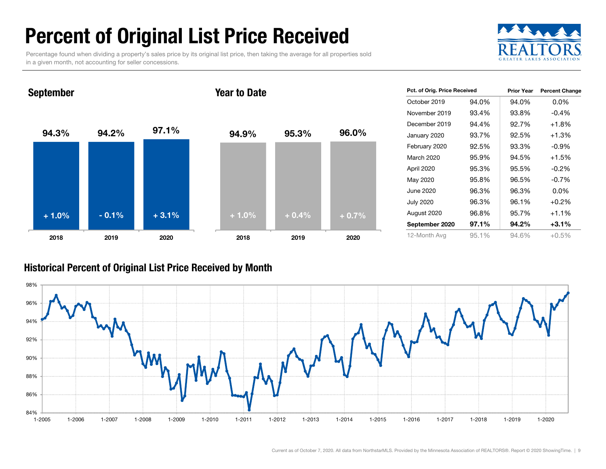## Percent of Original List Price Received

Percentage found when dividing a property's sales price by its original list price, then taking the average for all properties sold in a given month, not accounting for seller concessions.



94.3% 94.2% 97.1% 2018 2019 2020 September 94.9% 95.3% 96.0% 2018 2019 2020 Year to Date+ 1.0% $\%$  - 0.1% + 3.1% + 1.0% + 1.0% + 0.4% + 0.7%

| Pct. of Orig. Price Received |       | <b>Prior Year</b> | <b>Percent Change</b> |
|------------------------------|-------|-------------------|-----------------------|
| October 2019                 | 94.0% | 94.0%             | $0.0\%$               |
| November 2019                | 93.4% | 93.8%             | $-0.4%$               |
| December 2019                | 94.4% | 92.7%             | $+1.8%$               |
| January 2020                 | 93.7% | 92.5%             | $+1.3%$               |
| February 2020                | 92.5% | 93.3%             | $-0.9%$               |
| March 2020                   | 95.9% | 94.5%             | $+1.5%$               |
| April 2020                   | 95.3% | 95.5%             | $-0.2%$               |
| May 2020                     | 95.8% | 96.5%             | $-0.7%$               |
| June 2020                    | 96.3% | 96.3%             | $0.0\%$               |
| <b>July 2020</b>             | 96.3% | 96.1%             | $+0.2%$               |
| August 2020                  | 96.8% | 95.7%             | $+1.1%$               |
| September 2020               | 97.1% | 94.2%             | $+3.1%$               |
| 12-Month Avg                 | 95.1% | 94.6%             | $+0.5%$               |

#### Historical Percent of Original List Price Received by Month

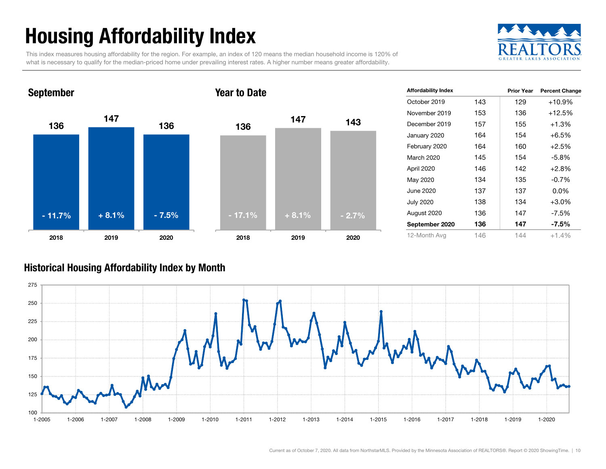## Housing Affordability Index

This index measures housing affordability for the region. For example, an index of 120 means the median household income is 120% of what is necessary to qualify for the median-priced home under prevailing interest rates. A higher number means greater affordability.





| <b>Affordability Index</b> |     | <b>Prior Year</b> | <b>Percent Change</b> |
|----------------------------|-----|-------------------|-----------------------|
| October 2019               | 143 | 129               | $+10.9%$              |
| November 2019              | 153 | 136               | $+12.5%$              |
| December 2019              | 157 | 155               | $+1.3%$               |
| January 2020               | 164 | 154               | $+6.5%$               |
| February 2020              | 164 | 160               | $+2.5%$               |
| March 2020                 | 145 | 154               | $-5.8%$               |
| April 2020                 | 146 | 142               | $+2.8%$               |
| May 2020                   | 134 | 135               | $-0.7%$               |
| June 2020                  | 137 | 137               | $0.0\%$               |
| <b>July 2020</b>           | 138 | 134               | $+3.0%$               |
| August 2020                | 136 | 147               | $-7.5%$               |
| September 2020             | 136 | 147               | $-7.5\%$              |
| 12-Month Avg               | 146 | 144               | $+1.4%$               |

#### Historical Housing Affordability Index by Mont h

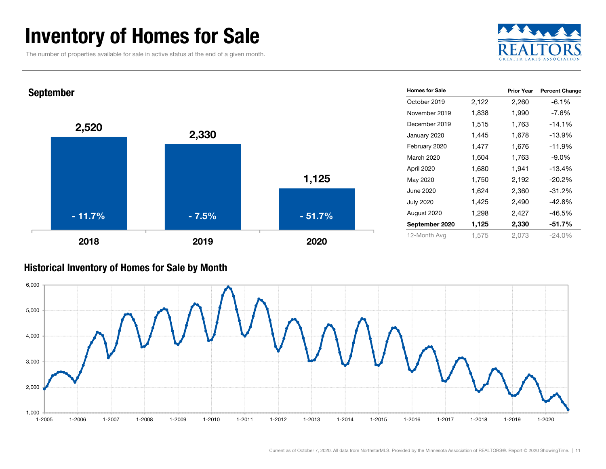### Inventory of Homes for Sale

The number of properties available for sale in active status at the end of a given month.





#### Historical Inventory of Homes for Sale by Month

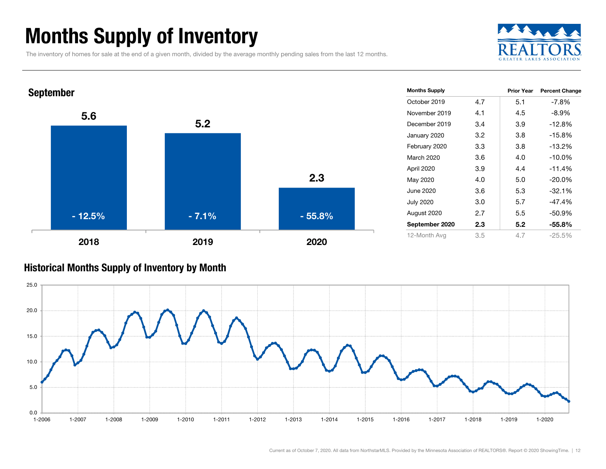### Months Supply of Inventory

The inventory of homes for sale at the end of a given month, divided by the average monthly pending sales from the last 12 months.





#### Historical Months Supply of Inventory by Month